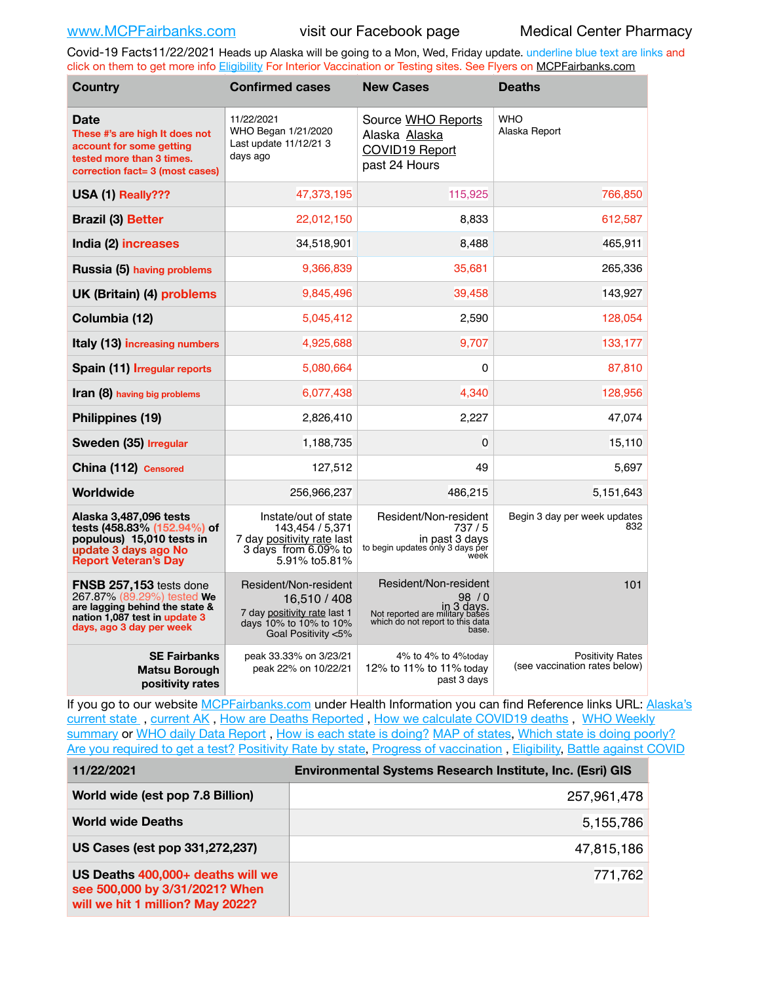Covid-19 Facts11/22/2021 Heads up Alaska will be going to a Mon, Wed, Friday update. underline blue text are links and click on them to get more info [Eligibility](http://dhss.alaska.gov/dph/Epi/id/Pages/COVID-19/VaccineAvailability.aspx) For Interior Vaccination or Testing sites. See Flyers on [MCPFairbanks.com](http://www.MCPFairbanks.com)

| <b>Country</b>                                                                                                                                       | <b>Confirmed cases</b>                                                                                                 | <b>New Cases</b>                                                                                                            | <b>Deaths</b>                                            |  |  |
|------------------------------------------------------------------------------------------------------------------------------------------------------|------------------------------------------------------------------------------------------------------------------------|-----------------------------------------------------------------------------------------------------------------------------|----------------------------------------------------------|--|--|
| <b>Date</b><br>These #'s are high It does not<br>account for some getting<br>tested more than 3 times.<br>correction fact= 3 (most cases)            | 11/22/2021<br>WHO Began 1/21/2020<br>Last update 11/12/21 3<br>days ago                                                | Source WHO Reports<br>Alaska Alaska<br><b>COVID19 Report</b><br>past 24 Hours                                               | <b>WHO</b><br>Alaska Report                              |  |  |
| USA (1) Really???                                                                                                                                    | 47,373,195                                                                                                             | 115,925                                                                                                                     | 766,850                                                  |  |  |
| <b>Brazil (3) Better</b>                                                                                                                             | 22,012,150                                                                                                             | 8,833                                                                                                                       | 612,587                                                  |  |  |
| India (2) increases                                                                                                                                  | 34,518,901                                                                                                             | 8,488                                                                                                                       | 465,911                                                  |  |  |
| Russia (5) having problems                                                                                                                           | 9,366,839                                                                                                              | 35,681                                                                                                                      | 265,336                                                  |  |  |
| UK (Britain) (4) problems                                                                                                                            | 9,845,496                                                                                                              | 39,458                                                                                                                      | 143,927                                                  |  |  |
| Columbia (12)                                                                                                                                        | 5,045,412                                                                                                              | 2,590                                                                                                                       | 128,054                                                  |  |  |
| Italy (13) increasing numbers                                                                                                                        | 4,925,688                                                                                                              | 9,707                                                                                                                       | 133,177                                                  |  |  |
| Spain (11) Irregular reports                                                                                                                         | 5,080,664                                                                                                              | 0                                                                                                                           | 87,810                                                   |  |  |
| Iran (8) having big problems                                                                                                                         | 6,077,438                                                                                                              | 4,340                                                                                                                       | 128,956                                                  |  |  |
| Philippines (19)                                                                                                                                     | 2,826,410                                                                                                              | 2,227                                                                                                                       | 47,074                                                   |  |  |
| Sweden (35) Irregular                                                                                                                                | 1,188,735                                                                                                              | 0                                                                                                                           | 15,110                                                   |  |  |
| China (112) Censored                                                                                                                                 | 127,512                                                                                                                | 49                                                                                                                          | 5,697                                                    |  |  |
| Worldwide                                                                                                                                            | 256,966,237                                                                                                            | 486,215                                                                                                                     | 5,151,643                                                |  |  |
| Alaska 3,487,096 tests<br>tests (458.83% (152.94%) of<br>populous) 15,010 tests in<br>update 3 days ago No<br><b>Report Veteran's Day</b>            | Instate/out of state<br>143.454 / 5.371<br>7 day positivity rate last<br>3 days from 6.09% to<br>5.91% to 5.81%        | Resident/Non-resident<br>737/5<br>in past 3 days<br>to begin updates only 3 days per<br>week                                | Begin 3 day per week updates<br>832                      |  |  |
| FNSB 257,153 tests done<br>267.87% (89.29%) tested We<br>are lagging behind the state &<br>nation 1,087 test in update 3<br>days, ago 3 day per week | Resident/Non-resident<br>16,510 / 408<br>7 day positivity rate last 1<br>days 10% to 10% to 10%<br>Goal Positivity <5% | Resident/Non-resident<br>98/0<br>in 3 days.<br>Not reported are military bases<br>which do not report to this data<br>base. | 101                                                      |  |  |
| <b>SE Fairbanks</b><br>Matsu Borough<br>positivity rates                                                                                             | peak 33.33% on 3/23/21<br>peak 22% on 10/22/21                                                                         | 4% to 4% to 4% today<br>12% to 11% to 11% today<br>past 3 days                                                              | <b>Positivity Rates</b><br>(see vaccination rates below) |  |  |

If you go to our website [MCPFairbanks.com](http://www.MCPFairbanks.com) under Health Information you can find Reference links URL: Alaska's [current state](https://coronavirus-response-alaska-dhss.hub.arcgis.com) , [current AK](http://dhss.alaska.gov/dph/Epi/id/Pages/COVID-19/communications.aspx#cases) , [How are Deaths Reported](http://dhss.alaska.gov/dph/Epi/id/Pages/COVID-19/deathcounts.aspx) , [How we calculate COVID19 deaths](https://coronavirus-response-alaska-dhss.hub.arcgis.com/search?collection=Document&groupIds=41ccb3344ebc4bd682c74073eba21f42) , [WHO Weekly](http://www.who.int)  [summary](http://www.who.int) or [WHO daily Data Report](https://covid19.who.int/table), [How is each state is doing?](https://www.msn.com/en-us/news/us/state-by-state-coronavirus-news/ar-BB13E1PX?fbclid=IwAR0_OBJH7lSyTN3ug_MsOeFnNgB1orTa9OBgilKJ7dhnwlVvHEsptuKkj1c) [MAP of states,](https://www.nationalgeographic.com/science/graphics/graphic-tracking-coronavirus-infections-us?cmpid=org=ngp::mc=crm-email::src=ngp::cmp=editorial::add=SpecialEdition_20210305&rid=B9A6DF5992658E8E35CE023113CFEA4C) [Which state is doing poorly?](https://bestlifeonline.com/covid-outbreak-your-state/?utm_source=nsltr&utm_medium=email&utm_content=covid-outbreak-your-state&utm_campaign=launch) [Are you required to get a test?](http://dhss.alaska.gov/dph/Epi/id/SiteAssets/Pages/HumanCoV/Whattodoafteryourtest.pdf) [Positivity Rate by state](https://coronavirus.jhu.edu/testing/individual-states/alaska), Progress of vaccination, [Eligibility,](http://dhss.alaska.gov/dph/Epi/id/Pages/COVID-19/VaccineAvailability.aspx) [Battle against COVID](https://www.nationalgeographic.com/science/graphics/graphic-tracking-coronavirus-infections-us?cmpid=org=ngp::mc=crm-email::src=ngp::cmp=editorial::add=SpecialEdition_20210219&rid=B9A6DF5992658E8E35CE023113CFEA4C)

| 11/22/2021                                                                                              | Environmental Systems Research Institute, Inc. (Esri) GIS |  |  |
|---------------------------------------------------------------------------------------------------------|-----------------------------------------------------------|--|--|
| World wide (est pop 7.8 Billion)                                                                        | 257,961,478                                               |  |  |
| <b>World wide Deaths</b>                                                                                | 5,155,786                                                 |  |  |
| US Cases (est pop 331,272,237)                                                                          | 47,815,186                                                |  |  |
| US Deaths 400,000+ deaths will we<br>see 500,000 by 3/31/2021? When<br>will we hit 1 million? May 2022? | 771,762                                                   |  |  |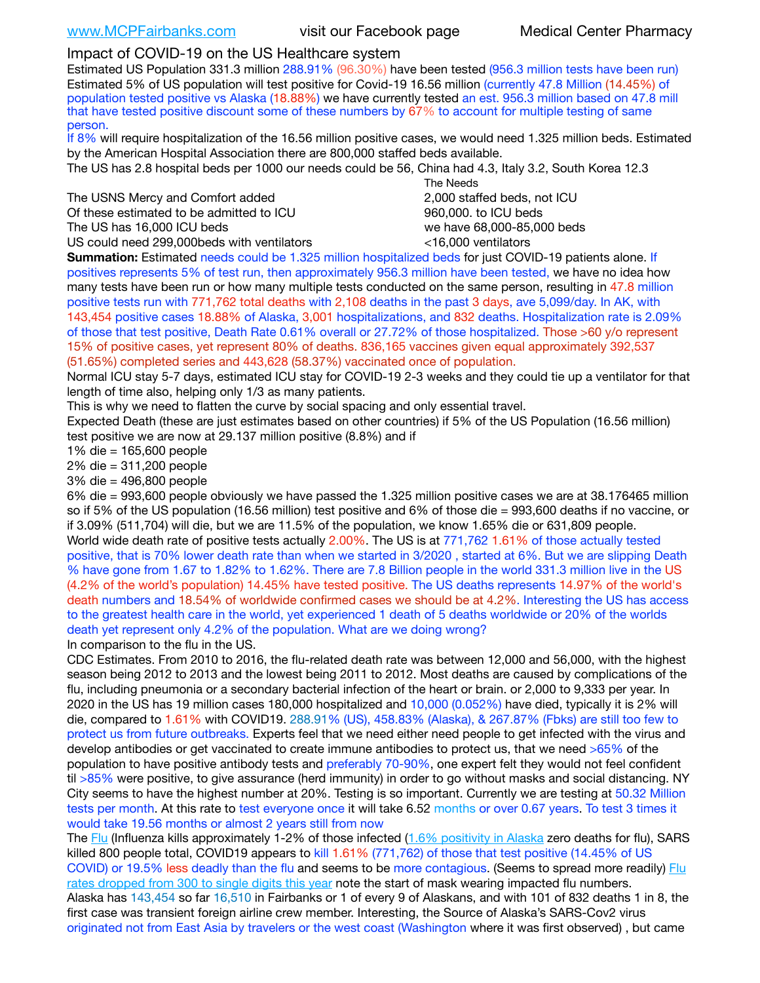# Impact of COVID-19 on the US Healthcare system

Estimated US Population 331.3 million 288.91% (96.30%) have been tested (956.3 million tests have been run) Estimated 5% of US population will test positive for Covid-19 16.56 million (currently 47.8 Million (14.45%) of population tested positive vs Alaska (18.88%) we have currently tested an est. 956.3 million based on 47.8 mill that have tested positive discount some of these numbers by 67% to account for multiple testing of same person.

If 8% will require hospitalization of the 16.56 million positive cases, we would need 1.325 million beds. Estimated by the American Hospital Association there are 800,000 staffed beds available.

The US has 2.8 hospital beds per 1000 our needs could be 56, China had 4.3, Italy 3.2, South Korea 12.3

The USNS Mercy and Comfort added 2,000 staffed beds, not ICU Of these estimated to be admitted to ICU 860,000. to ICU beds The US has 16,000 ICU beds we have 68,000-85,000 beds

US could need 299,000 beds with ventilators  $\leq 16,000$  ventilators

 The Needs

**Summation:** Estimated needs could be 1.325 million hospitalized beds for just COVID-19 patients alone. If positives represents 5% of test run, then approximately 956.3 million have been tested, we have no idea how many tests have been run or how many multiple tests conducted on the same person, resulting in 47.8 million positive tests run with 771,762 total deaths with 2,108 deaths in the past 3 days, ave 5,099/day. In AK, with 143,454 positive cases 18.88% of Alaska, 3,001 hospitalizations, and 832 deaths. Hospitalization rate is 2.09% of those that test positive, Death Rate 0.61% overall or 27.72% of those hospitalized. Those >60 y/o represent 15% of positive cases, yet represent 80% of deaths. 836,165 vaccines given equal approximately 392,537 (51.65%) completed series and 443,628 (58.37%) vaccinated once of population.

Normal ICU stay 5-7 days, estimated ICU stay for COVID-19 2-3 weeks and they could tie up a ventilator for that length of time also, helping only 1/3 as many patients.

This is why we need to flatten the curve by social spacing and only essential travel.

Expected Death (these are just estimates based on other countries) if 5% of the US Population (16.56 million) test positive we are now at 29.137 million positive (8.8%) and if

1% die = 165,600 people

2% die = 311,200 people

3% die = 496,800 people

6% die = 993,600 people obviously we have passed the 1.325 million positive cases we are at 38.176465 million so if 5% of the US population (16.56 million) test positive and 6% of those die = 993,600 deaths if no vaccine, or if 3.09% (511,704) will die, but we are 11.5% of the population, we know 1.65% die or 631,809 people. World wide death rate of positive tests actually 2.00%. The US is at 771,762 1.61% of those actually tested positive, that is 70% lower death rate than when we started in 3/2020 , started at 6%. But we are slipping Death % have gone from 1.67 to 1.82% to 1.62%. There are 7.8 Billion people in the world 331.3 million live in the US (4.2% of the world's population) 14.45% have tested positive. The US deaths represents 14.97% of the world's death numbers and 18.54% of worldwide confirmed cases we should be at 4.2%. Interesting the US has access to the greatest health care in the world, yet experienced 1 death of 5 deaths worldwide or 20% of the worlds death yet represent only 4.2% of the population. What are we doing wrong? In comparison to the flu in the US.

CDC Estimates. From 2010 to 2016, the flu-related death rate was between 12,000 and 56,000, with the highest season being 2012 to 2013 and the lowest being 2011 to 2012. Most deaths are caused by complications of the flu, including pneumonia or a secondary bacterial infection of the heart or brain. or 2,000 to 9,333 per year. In 2020 in the US has 19 million cases 180,000 hospitalized and 10,000 (0.052%) have died, typically it is 2% will die, compared to 1.61% with COVID19. 288.91% (US), 458.83% (Alaska), & 267.87% (Fbks) are still too few to protect us from future outbreaks. Experts feel that we need either need people to get infected with the virus and develop antibodies or get vaccinated to create immune antibodies to protect us, that we need >65% of the population to have positive antibody tests and preferably 70-90%, one expert felt they would not feel confident til >85% were positive, to give assurance (herd immunity) in order to go without masks and social distancing. NY City seems to have the highest number at 20%. Testing is so important. Currently we are testing at 50.32 Million tests per month. At this rate to test everyone once it will take 6.52 months or over 0.67 years. To test 3 times it would take 19.56 months or almost 2 years still from now

The [Flu](https://lnks.gd/l/eyJhbGciOiJIUzI1NiJ9.eyJidWxsZXRpbl9saW5rX2lkIjoxMDMsInVyaSI6ImJwMjpjbGljayIsImJ1bGxldGluX2lkIjoiMjAyMTAyMjYuMzYwNDA3NTEiLCJ1cmwiOiJodHRwczovL3d3dy5jZGMuZ292L2ZsdS93ZWVrbHkvb3ZlcnZpZXcuaHRtIn0.ePMA_hsZ-pTnhWSyg1gHvHWYTu2XceVOt0JejxvP1WE/s/500544915/br/98428119752-l) (Influenza kills approximately 1-2% of those infected ([1.6% positivity in Alaska](http://dhss.alaska.gov/dph/Epi/id/SiteAssets/Pages/influenza/trends/Snapshot.pdf) zero deaths for flu), SARS killed 800 people total, COVID19 appears to kill 1.61% (771,762) of those that test positive (14.45% of US COVID) or 19.5% less deadly than the flu and seems to be more contagious. (Seems to spread more readily) [Flu](https://lnks.gd/l/eyJhbGciOiJIUzI1NiJ9.eyJidWxsZXRpbl9saW5rX2lkIjoxMDEsInVyaSI6ImJwMjpjbGljayIsImJ1bGxldGluX2lkIjoiMjAyMTAyMjYuMzYwNDA3NTEiLCJ1cmwiOiJodHRwOi8vZGhzcy5hbGFza2EuZ292L2RwaC9FcGkvaWQvUGFnZXMvaW5mbHVlbnphL2ZsdWluZm8uYXNweCJ9.oOe3nt2fww6XpsNhb4FZfmtPfPa-irGaldpkURBJhSo/s/500544915/br/98428119752-l)  [rates dropped from 300 to single digits this year](https://lnks.gd/l/eyJhbGciOiJIUzI1NiJ9.eyJidWxsZXRpbl9saW5rX2lkIjoxMDEsInVyaSI6ImJwMjpjbGljayIsImJ1bGxldGluX2lkIjoiMjAyMTAyMjYuMzYwNDA3NTEiLCJ1cmwiOiJodHRwOi8vZGhzcy5hbGFza2EuZ292L2RwaC9FcGkvaWQvUGFnZXMvaW5mbHVlbnphL2ZsdWluZm8uYXNweCJ9.oOe3nt2fww6XpsNhb4FZfmtPfPa-irGaldpkURBJhSo/s/500544915/br/98428119752-l) note the start of mask wearing impacted flu numbers. Alaska has 143,454 so far 16,510 in Fairbanks or 1 of every 9 of Alaskans, and with 101 of 832 deaths 1 in 8, the

first case was transient foreign airline crew member. Interesting, the Source of Alaska's SARS-Cov2 virus originated not from East Asia by travelers or the west coast (Washington where it was first observed) , but came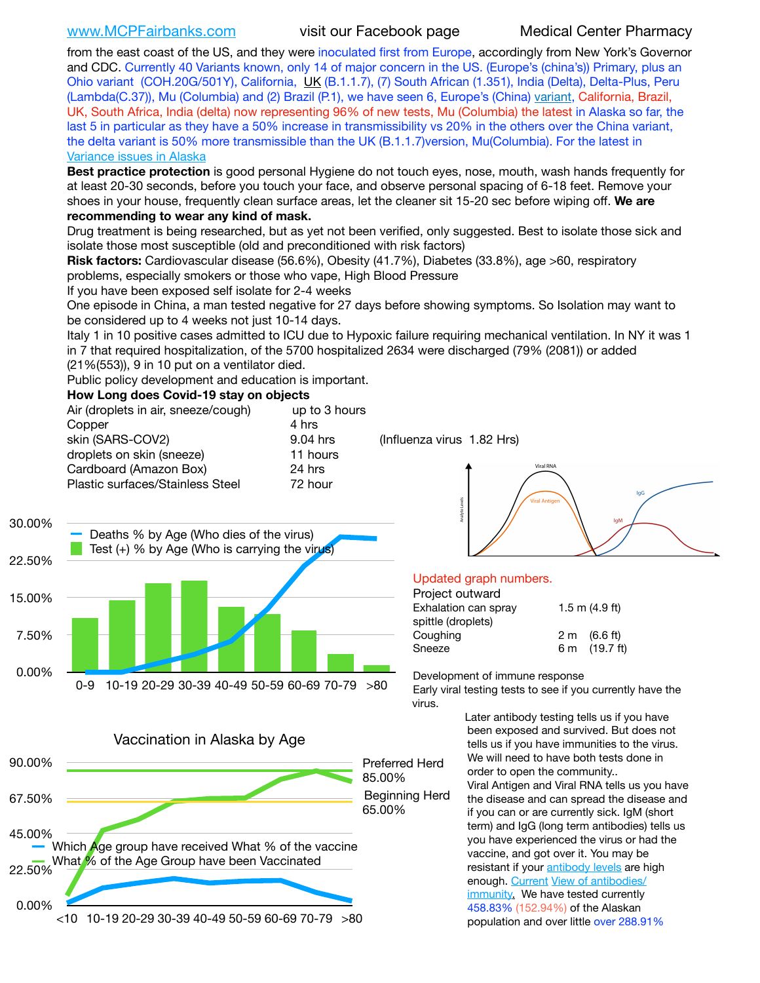[www.MCPFairbanks.com](http://www.MCPFairbanks.com) visit our Facebook page Medical Center Pharmacy

from the east coast of the US, and they were inoculated first from Europe, accordingly from New York's Governor and CDC. Currently 40 Variants known, only 14 of major concern in the US. (Europe's (china's)) Primary, plus an Ohio variant (COH.20G/501Y), California, [UK](https://www.cdc.gov/coronavirus/2019-ncov/transmission/variant-cases.html) (B.1.1.7), (7) South African (1.351), India (Delta), Delta-Plus, Peru (Lambda(C.37)), Mu (Columbia) and (2) Brazil (P.1), we have seen 6, Europe's (China) [variant,](https://www.webmd.com/lung/news/20210318/cdc-who-create-threat-levels-for-covid-variants?ecd=wnl_cvd_031921&ctr=wnl-cvd-031921&mb=kYbf7DsHb7YGjh/1RUkcAW0T6iorImAU1TDZh18RYs0=_Support_titleLink_2) California, Brazil, UK, South Africa, India (delta) now representing 96% of new tests, Mu (Columbia) the latest in Alaska so far, the last 5 in particular as they have a 50% increase in transmissibility vs 20% in the others over the China variant, the delta variant is 50% more transmissible than the UK (B.1.1.7)version, Mu(Columbia). For the latest in [Variance issues in Alaska](https://akvariants.github.io)

**Best practice protection** is good personal Hygiene do not touch eyes, nose, mouth, wash hands frequently for at least 20-30 seconds, before you touch your face, and observe personal spacing of 6-18 feet. Remove your shoes in your house, frequently clean surface areas, let the cleaner sit 15-20 sec before wiping off. **We are recommending to wear any kind of mask.**

Drug treatment is being researched, but as yet not been verified, only suggested. Best to isolate those sick and isolate those most susceptible (old and preconditioned with risk factors)

**Risk factors:** Cardiovascular disease (56.6%), Obesity (41.7%), Diabetes (33.8%), age >60, respiratory problems, especially smokers or those who vape, High Blood Pressure

If you have been exposed self isolate for 2-4 weeks

One episode in China, a man tested negative for 27 days before showing symptoms. So Isolation may want to be considered up to 4 weeks not just 10-14 days.

Italy 1 in 10 positive cases admitted to ICU due to Hypoxic failure requiring mechanical ventilation. In NY it was 1 in 7 that required hospitalization, of the 5700 hospitalized 2634 were discharged (79% (2081)) or added

(21%(553)), 9 in 10 put on a ventilator died.

Public policy development and education is important.

### **How Long does Covid-19 stay on objects**

| Air (droplets in air, sneeze/cough) | up to 3 hours |  |  |
|-------------------------------------|---------------|--|--|
| Copper                              | 4 hrs         |  |  |
| skin (SARS-COV2)                    | 9.04 hrs      |  |  |
| droplets on skin (sneeze)           | 11 hours      |  |  |
| Cardboard (Amazon Box)              | 24 hrs        |  |  |
| Plastic surfaces/Stainless Steel    | 72 hour       |  |  |
|                                     |               |  |  |

 $(Influenza virus 1.82 Hrs)$ 





## Updated graph numbers.

| Project outward      |                        |  |  |
|----------------------|------------------------|--|--|
| Exhalation can spray | $1.5$ m $(4.9$ ft)     |  |  |
| spittle (droplets)   |                        |  |  |
| Coughing             | $2 \text{ m}$ (6.6 ft) |  |  |
| Sneeze               | 6 m (19.7 ft)          |  |  |
|                      |                        |  |  |

Development of immune response

Early viral testing tests to see if you currently have the virus.

Later antibody testing tells us if you have been exposed and survived. But does not tells us if you have immunities to the virus. We will need to have both tests done in order to open the community.. Viral Antigen and Viral RNA tells us you have the disease and can spread the disease and if you can or are currently sick. IgM (short term) and IgG (long term antibodies) tells us you have experienced the virus or had the vaccine, and got over it. You may be resistant if your [antibody levels](https://www.cdc.gov/coronavirus/2019-ncov/lab/resources/antibody-tests.html) are high enough. [Current](https://l.facebook.com/l.php?u=https://www.itv.com/news/2020-10-26/covid-19-antibody-levels-reduce-over-time-study-finds?fbclid=IwAR3Dapzh1qIH1EIOdUQI2y8THf7jfA4KBCaJz8Qg-8xe1YsrR4nsAHDIXSY&h=AT30nut8pkqp0heVuz5W2rT2WFFm-2Ab52BsJxZZCNlGsX58IpPkuVEPULbIUV_M16MAukx1Kwb657DPXxsgDN1rpOQ4gqBtQsmVYiWpnHPJo2RQsU6CPMd14lgLnQnFWxfVi6zvmw&__tn__=-UK-R&c%5B0%5D=AT1GaRAfR_nGAyqcn7TI1-PpvqOqEKXHnz6TDWvRStMnOSH7boQDvTiwTOc6VId9UES6LKiOmm2m88wKCoolkJyOFvakt2Z1Mw8toYWGGoWW23r0MNVBl7cYJXB_UOvGklNHaNnaNr1_S7NhT3BSykNOBg) [View of antibodies/](https://www.livescience.com/antibodies.html) [immunity](https://www.livescience.com/antibodies.html)[.](https://www.itv.com/news/2020-10-26/covid-19-antibody-levels-reduce-over-time-study-finds) We have tested currently 458.83% (152.94%) of the Alaskan population and over little over 288.91%

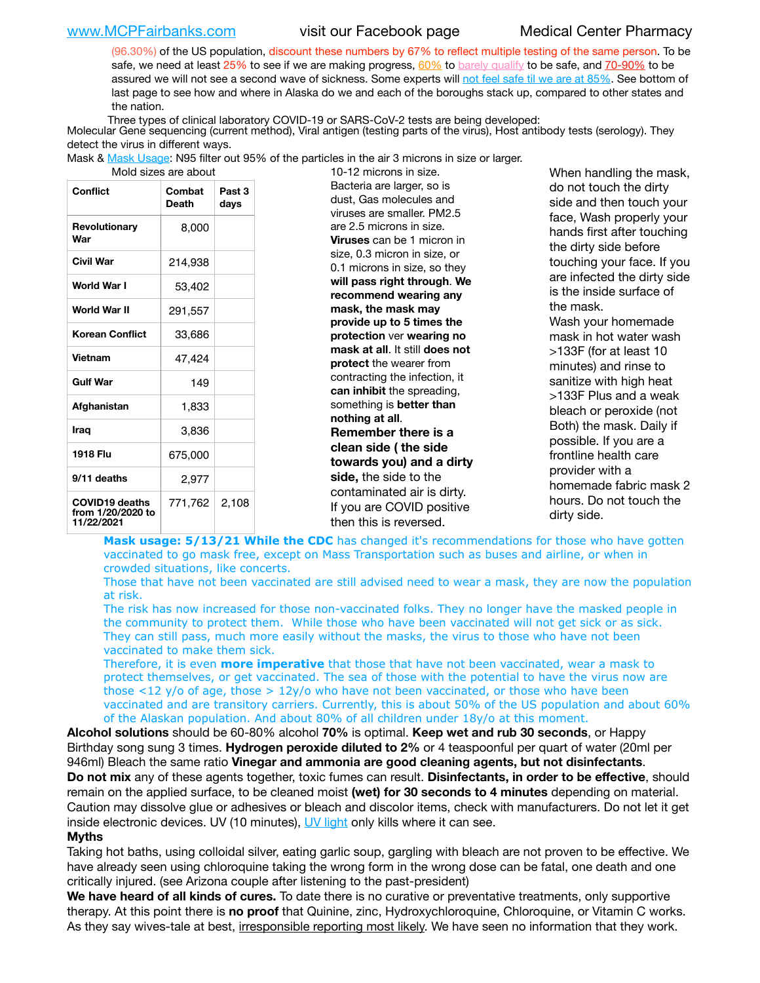[www.MCPFairbanks.com](http://www.MCPFairbanks.com) visit our Facebook page Medical Center Pharmacy

(96.30%) of the US population, discount these numbers by 67% to reflect multiple testing of the same person. To be safe, we need at least 25% to see if we are making progress, [60%](https://www.jhsph.edu/covid-19/articles/achieving-herd-immunity-with-covid19.html) to [barely qualify](https://www.nature.com/articles/d41586-020-02948-4) to be safe, and [70-90%](https://www.mayoclinic.org/herd-immunity-and-coronavirus/art-20486808) to be assured we will not see a second wave of sickness. Some experts will [not feel safe til we are at 85%](https://www.bannerhealth.com/healthcareblog/teach-me/what-is-herd-immunity). See bottom of last page to see how and where in Alaska do we and each of the boroughs stack up, compared to other states and the nation.

Three types of clinical laboratory COVID-19 or SARS-CoV-2 tests are being developed:

 Molecular Gene sequencing (current method), Viral antigen (testing parts of the virus), Host antibody tests (serology). They detect the virus in different ways.

Mask & <u>Mask Usage</u>: N95 filter out 95% of the particles in the air 3 microns in size or larger.<br>19.19 microns in size

| <b>Conflict</b>                                          | Combat<br><b>Death</b> | Past 3<br>days |
|----------------------------------------------------------|------------------------|----------------|
| Revolutionary<br>War                                     | 8,000                  |                |
| Civil War                                                | 214,938                |                |
| World War I                                              | 53,402                 |                |
| World War II                                             | 291,557                |                |
| <b>Korean Conflict</b>                                   | 33,686                 |                |
| <b>Vietnam</b>                                           | 47,424                 |                |
| <b>Gulf War</b>                                          | 149                    |                |
| Afghanistan                                              | 1,833                  |                |
| Iraq                                                     | 3,836                  |                |
| 1918 Flu                                                 | 675,000                |                |
| 9/11 deaths                                              | 2,977                  |                |
| <b>COVID19 deaths</b><br>from 1/20/2020 to<br>11/22/2021 | 771,762 2,108          |                |

10-12 microns in size. Bacteria are larger, so is dust, Gas molecules and viruses are smaller. PM2.5 are 2.5 microns in size. **Viruses** can be 1 micron in size, 0.3 micron in size, or 0.1 microns in size, so they **will pass right through**. **We recommend wearing any mask, the mask may provide up to 5 times the protection** ver **wearing no mask at all**. It still **does not protect** the wearer from contracting the infection, it **can inhibit** the spreading, something is **better than nothing at all**. **Remember there is a clean side ( the side towards you) and a dirty side,** the side to the contaminated air is dirty. If you are COVID positive then this is reversed.

When handling the mask, do not touch the dirty side and then touch your face, Wash properly your hands first after touching the dirty side before touching your face. If you are infected the dirty side is the inside surface of the mask. Wash your homemade mask in hot water wash >133F (for at least 10 minutes) and rinse to sanitize with high heat >133F Plus and a weak bleach or peroxide (not Both) the mask. Daily if possible. If you are a frontline health care provider with a homemade fabric mask 2 hours. Do not touch the dirty side.

**Mask usage: 5/13/21 While the CDC** has changed it's recommendations for those who have gotten vaccinated to go mask free, except on Mass Transportation such as buses and airline, or when in crowded situations, like concerts.

Those that have not been vaccinated are still advised need to wear a mask, they are now the population at risk.

The risk has now increased for those non-vaccinated folks. They no longer have the masked people in the community to protect them. While those who have been vaccinated will not get sick or as sick. They can still pass, much more easily without the masks, the virus to those who have not been vaccinated to make them sick.

Therefore, it is even **more imperative** that those that have not been vaccinated, wear a mask to protect themselves, or get vaccinated. The sea of those with the potential to have the virus now are those <12 y/o of age, those >  $12y$ /o who have not been vaccinated, or those who have been vaccinated and are transitory carriers. Currently, this is about 50% of the US population and about 60% of the Alaskan population. And about 80% of all children under 18y/o at this moment.

**Alcohol solutions** should be 60-80% alcohol **70%** is optimal. **Keep wet and rub 30 seconds**, or Happy Birthday song sung 3 times. **Hydrogen peroxide diluted to 2%** or 4 teaspoonful per quart of water (20ml per 946ml) Bleach the same ratio **Vinegar and ammonia are good cleaning agents, but not disinfectants**. **Do not mix** any of these agents together, toxic fumes can result. **Disinfectants, in order to be effective**, should remain on the applied surface, to be cleaned moist **(wet) for 30 seconds to 4 minutes** depending on material. Caution may dissolve glue or adhesives or bleach and discolor items, check with manufacturers. Do not let it get inside electronic devices. UV (10 minutes), [UV light](http://www.docreviews.me/best-uv-boxes-2020/?fbclid=IwAR3bvFtXB48OoBBSvYvTEnKuHNPbipxM6jUo82QUSw9wckxjC7wwRZWabGw) only kills where it can see.

### **Myths**

Taking hot baths, using colloidal silver, eating garlic soup, gargling with bleach are not proven to be effective. We have already seen using chloroquine taking the wrong form in the wrong dose can be fatal, one death and one critically injured. (see Arizona couple after listening to the past-president)

**We have heard of all kinds of cures.** To date there is no curative or preventative treatments, only supportive therapy. At this point there is **no proof** that Quinine, zinc, Hydroxychloroquine, Chloroquine, or Vitamin C works. As they say wives-tale at best, irresponsible reporting most likely. We have seen no information that they work.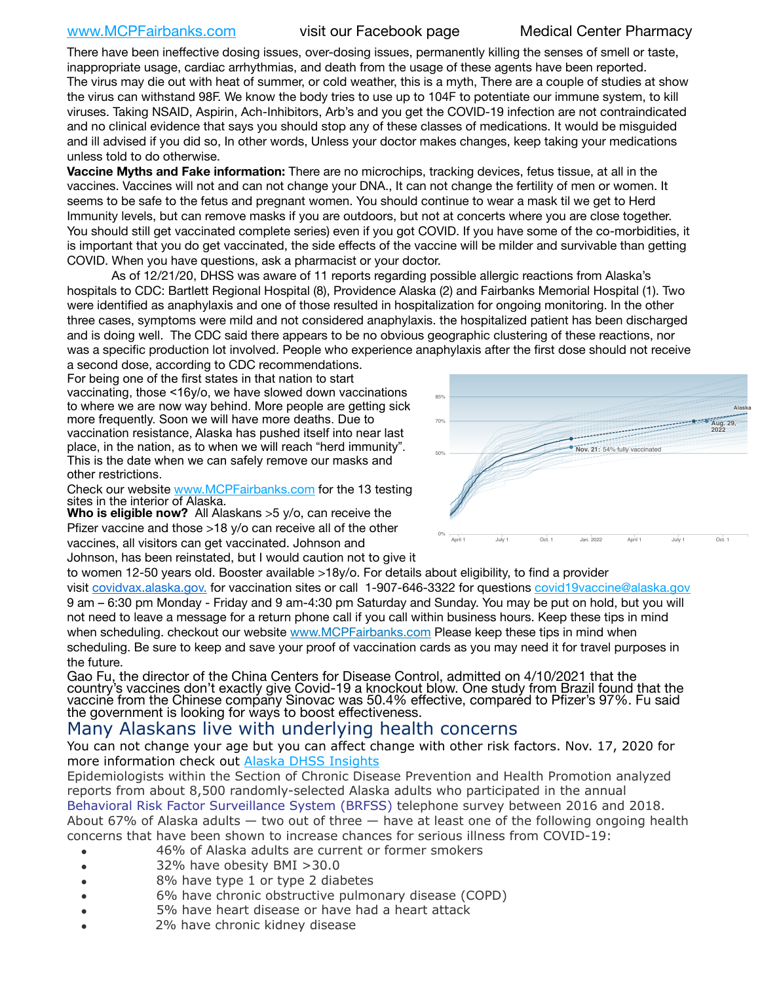[www.MCPFairbanks.com](http://www.MCPFairbanks.com) visit our Facebook page Medical Center Pharmacy

There have been ineffective dosing issues, over-dosing issues, permanently killing the senses of smell or taste, inappropriate usage, cardiac arrhythmias, and death from the usage of these agents have been reported. The virus may die out with heat of summer, or cold weather, this is a myth, There are a couple of studies at show the virus can withstand 98F. We know the body tries to use up to 104F to potentiate our immune system, to kill viruses. Taking NSAID, Aspirin, Ach-Inhibitors, Arb's and you get the COVID-19 infection are not contraindicated and no clinical evidence that says you should stop any of these classes of medications. It would be misguided and ill advised if you did so, In other words, Unless your doctor makes changes, keep taking your medications unless told to do otherwise.

**Vaccine Myths and Fake information:** There are no microchips, tracking devices, fetus tissue, at all in the vaccines. Vaccines will not and can not change your DNA., It can not change the fertility of men or women. It seems to be safe to the fetus and pregnant women. You should continue to wear a mask til we get to Herd Immunity levels, but can remove masks if you are outdoors, but not at concerts where you are close together. You should still get vaccinated complete series) even if you got COVID. If you have some of the co-morbidities, it is important that you do get vaccinated, the side effects of the vaccine will be milder and survivable than getting COVID. When you have questions, ask a pharmacist or your doctor.

As of 12/21/20, DHSS was aware of 11 reports regarding possible allergic reactions from Alaska's hospitals to CDC: Bartlett Regional Hospital (8), Providence Alaska (2) and Fairbanks Memorial Hospital (1). Two were identified as anaphylaxis and one of those resulted in hospitalization for ongoing monitoring. In the other  $w$ three cases, symptoms were mild and not considered anaphylaxis. the hospitalized patient has been discharged and is doing well. The CDC said there appears to be no obvious geographic clustering of these reactions, nor was a specific production lot involved. People who experience anaphylaxis after the first dose should not receive romig. in

a second dose, according to CDC recommendations. For being one of the first states in that nation to start vaccinating, those <16y/o, we have slowed down vaccinations to where we are now way behind. More people are getting sick more frequently. Soon we will have more deaths. Due to vaccination resistance, Alaska has pushed itself into near last place, in the nation, as to when we will reach "herd immunity". This is the date when we can safely remove our masks and other restrictions.

Check our website [www.MCPFairbanks.com](http://www.MCPFairbanks.com) for the 13 testing sites in the interior of Alaska.

**Who is eligible now?** All Alaskans > 5 y/o, can receive the Pfizer vaccine and those >18 y/o can receive all of the other vaccines, all visitors can get vaccinated. Johnson and Johnson, has been reinstated, but I would caution not to give it



to women 12-50 years old. Booster available >18y/o. For details about eligibility, to find a provider

visit [covidvax.alaska.gov.](https://lnks.gd/l/eyJhbGciOiJIUzI1NiJ9.eyJidWxsZXRpbl9saW5rX2lkIjoxMDYsInVyaSI6ImJwMjpjbGljayIsImJ1bGxldGluX2lkIjoiMjAyMTAxMjguMzQwODU3NjEiLCJ1cmwiOiJodHRwOi8vZGhzcy5hbGFza2EuZ292L2RwaC9FcGkvaWQvUGFnZXMvQ09WSUQtMTkvdmFjY2luZS5hc3B4In0.-Xwhl42jAWOMS7ewfS85uxwrwjohCso3Sb81DuDKtxU/s/500544915/br/93796640171-l) for vaccination sites or call 1-907-646-3322 for questions [covid19vaccine@alaska.gov](mailto:covid19vaccine@alaska.gov?subject=COVID19%20Vaccine%20questions) 9 am – 6:30 pm Monday - Friday and 9 am-4:30 pm Saturday and Sunday. You may be put on hold, but you will not need to leave a message for a return phone call if you call within business hours. Keep these tips in mind when scheduling. checkout our website [www.MCPFairbanks.com](http://www.MCPFairbanks.com) Please keep these tips in mind when scheduling. Be sure to keep and save your proof of vaccination cards as you may need it for travel purposes in the future.

Gao Fu, the director of the China Centers for Disease Control, admitted on 4/10/2021 that the country's vaccines don't exactly give Covid-19 a knockout blow. One study from Brazil found that the vaccine from the Chinese company Sinovac was 50.4% effective, compared to Pfizer's 97%. Fu said the government is looking for ways to boost effectiveness.

# Many Alaskans live with underlying health concerns

You can not change your age but you can affect change with other risk factors. Nov. 17, 2020 for more information check out [Alaska DHSS Insights](http://dhss.alaska.gov/dph/Epi/id/Pages/COVID-19/blog/20201117.aspx)

Epidemiologists within the Section of Chronic Disease Prevention and Health Promotion analyzed reports from about 8,500 randomly-selected Alaska adults who participated in the annual [Behavioral Risk Factor Surveillance System \(BRFSS\)](http://dhss.alaska.gov/dph/Chronic/Pages/brfss/default.aspx) telephone survey between 2016 and 2018. About 67% of Alaska adults  $-$  two out of three  $-$  have at least one of the following ongoing health concerns that have been shown to increase chances for serious illness from COVID-19:

- 46% of Alaska adults are current or former smokers
- 32% have obesity BMI >30.0
- 8% have type 1 or type 2 diabetes
- 6% have chronic obstructive pulmonary disease (COPD)
- 5% have heart disease or have had a heart attack
- 2% have chronic kidney disease